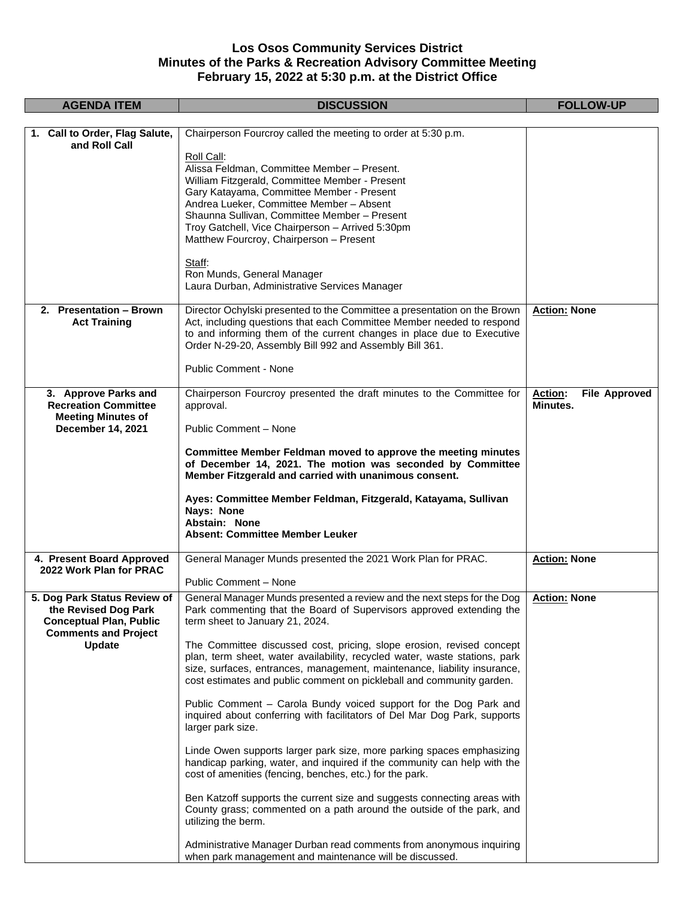## **Los Osos Community Services District Minutes of the Parks & Recreation Advisory Committee Meeting February 15, 2022 at 5:30 p.m. at the District Office**

| <b>AGENDA ITEM</b>                                                                                                    | <b>DISCUSSION</b>                                                                                                                                                                                                                                                                                                                                   | <b>FOLLOW-UP</b>                                   |
|-----------------------------------------------------------------------------------------------------------------------|-----------------------------------------------------------------------------------------------------------------------------------------------------------------------------------------------------------------------------------------------------------------------------------------------------------------------------------------------------|----------------------------------------------------|
|                                                                                                                       |                                                                                                                                                                                                                                                                                                                                                     |                                                    |
| Call to Order, Flag Salute,<br>1.<br>and Roll Call                                                                    | Chairperson Fourcroy called the meeting to order at 5:30 p.m.                                                                                                                                                                                                                                                                                       |                                                    |
|                                                                                                                       | Roll Call:<br>Alissa Feldman, Committee Member - Present.<br>William Fitzgerald, Committee Member - Present<br>Gary Katayama, Committee Member - Present<br>Andrea Lueker, Committee Member - Absent<br>Shaunna Sullivan, Committee Member - Present<br>Troy Gatchell, Vice Chairperson - Arrived 5:30pm<br>Matthew Fourcroy, Chairperson - Present |                                                    |
|                                                                                                                       | Staff:<br>Ron Munds, General Manager<br>Laura Durban, Administrative Services Manager                                                                                                                                                                                                                                                               |                                                    |
| 2. Presentation - Brown<br><b>Act Training</b>                                                                        | Director Ochylski presented to the Committee a presentation on the Brown<br>Act, including questions that each Committee Member needed to respond<br>to and informing them of the current changes in place due to Executive<br>Order N-29-20, Assembly Bill 992 and Assembly Bill 361.                                                              | <b>Action: None</b>                                |
|                                                                                                                       | <b>Public Comment - None</b>                                                                                                                                                                                                                                                                                                                        |                                                    |
| 3. Approve Parks and<br><b>Recreation Committee</b><br><b>Meeting Minutes of</b>                                      | Chairperson Fourcroy presented the draft minutes to the Committee for<br>approval.                                                                                                                                                                                                                                                                  | <b>Action:</b><br><b>File Approved</b><br>Minutes. |
| December 14, 2021                                                                                                     | Public Comment - None                                                                                                                                                                                                                                                                                                                               |                                                    |
|                                                                                                                       | Committee Member Feldman moved to approve the meeting minutes<br>of December 14, 2021. The motion was seconded by Committee<br>Member Fitzgerald and carried with unanimous consent.                                                                                                                                                                |                                                    |
|                                                                                                                       | Ayes: Committee Member Feldman, Fitzgerald, Katayama, Sullivan<br>Nays: None<br>Abstain: None<br><b>Absent: Committee Member Leuker</b>                                                                                                                                                                                                             |                                                    |
| 4. Present Board Approved<br>2022 Work Plan for PRAC                                                                  | General Manager Munds presented the 2021 Work Plan for PRAC.<br>Public Comment - None                                                                                                                                                                                                                                                               | <b>Action: None</b>                                |
| 5. Dog Park Status Review of<br>the Revised Dog Park<br><b>Conceptual Plan, Public</b><br><b>Comments and Project</b> | General Manager Munds presented a review and the next steps for the Dog<br>Park commenting that the Board of Supervisors approved extending the<br>term sheet to January 21, 2024.                                                                                                                                                                  | <b>Action: None</b>                                |
| Update                                                                                                                | The Committee discussed cost, pricing, slope erosion, revised concept<br>plan, term sheet, water availability, recycled water, waste stations, park<br>size, surfaces, entrances, management, maintenance, liability insurance,<br>cost estimates and public comment on pickleball and community garden.                                            |                                                    |
|                                                                                                                       | Public Comment - Carola Bundy voiced support for the Dog Park and<br>inquired about conferring with facilitators of Del Mar Dog Park, supports<br>larger park size.                                                                                                                                                                                 |                                                    |
|                                                                                                                       | Linde Owen supports larger park size, more parking spaces emphasizing<br>handicap parking, water, and inquired if the community can help with the<br>cost of amenities (fencing, benches, etc.) for the park.                                                                                                                                       |                                                    |
|                                                                                                                       | Ben Katzoff supports the current size and suggests connecting areas with<br>County grass; commented on a path around the outside of the park, and<br>utilizing the berm.                                                                                                                                                                            |                                                    |
|                                                                                                                       | Administrative Manager Durban read comments from anonymous inquiring<br>when park management and maintenance will be discussed.                                                                                                                                                                                                                     |                                                    |